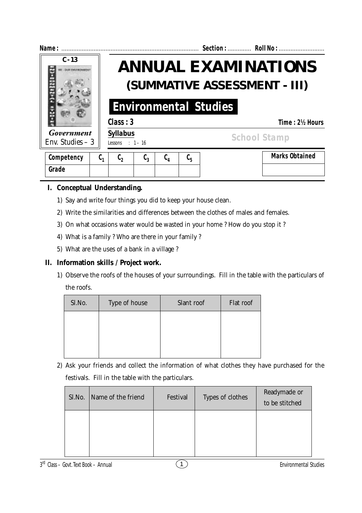

# **I. Conceptual Understanding.**

- 1) Say and write four things you did to keep your house clean.
- 2) Write the similarities and differences between the clothes of males and females.
- 3) On what occasions water would be wasted in your home ? How do you stop it ?
- 4) What is a family ? Who are there in your family ?
- 5) What are the uses of a bank in a village ?

## **II. Information skills / Project work.**

1) Observe the roofs of the houses of your surroundings. Fill in the table with the particulars of the roofs.

| Sl.No. | Type of house | Slant roof | Flat roof |
|--------|---------------|------------|-----------|
|        |               |            |           |
|        |               |            |           |
|        |               |            |           |

2) Ask your friends and collect the information of what clothes they have purchased for the festivals. Fill in the table with the particulars.

| Sl.No. | Name of the friend | Festival | Types of clothes | Readymade or<br>to be stitched |
|--------|--------------------|----------|------------------|--------------------------------|
|        |                    |          |                  |                                |
|        |                    |          |                  |                                |

3<sup>rd</sup> Class – Govt. Text Book – Annual 2008 (1 Environmental Studies